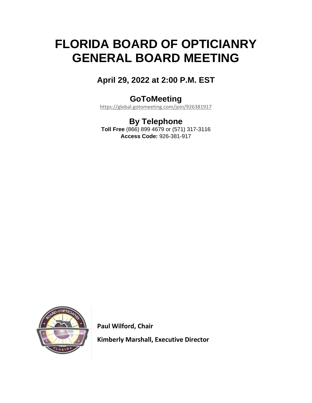# **FLORIDA BOARD OF OPTICIANRY GENERAL BOARD MEETING**

### **April 29, 2022 at 2:00 P.M. EST**

### **GoToMeeting**

<https://global.gotomeeting.com/join/926381917>

### **By Telephone**

**Toll Free** (866) 899 4679 or (571) 317-3116 **Access Code:** 926-381-917



 **Paul Wilford, Chair**

 **Kimberly Marshall, Executive Director**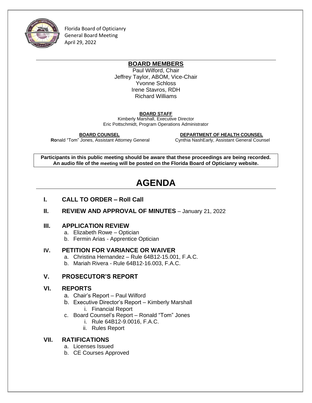

Florida Board of Opticianry General Board Meeting April 29, 2022

#### **BOARD MEMBERS**

Paul Wilford, Chair Jeffrey Taylor, ABOM, Vice-Chair Yvonne Schloss Irene Stavros, RDH Richard Williams

#### **BOARD STAFF**

Kimberly Marshall, Executive Director Eric Pottschmidt, Program Operations Administrator

**Ronald "Tom" Jones, Assistant Attorney General** 

 **BOARD COUNSEL DEPARTMENT OF HEALTH COUNSEL**

**Participants in this public meeting should be aware that these proceedings are being recorded. An audio file of the meeting will be posted on the Florida Board of Opticianry website.**

## **AGENDA**

- **I. CALL TO ORDER – Roll Call**
- **II. REVIEW AND APPROVAL OF MINUTES** January 21, 2022

#### **III. APPLICATION REVIEW**

- a. Elizabeth Rowe Optician
- b. Fermin Arias Apprentice Optician

#### **IV. PETITION FOR VARIANCE OR WAIVER**

- a. Christina Hernandez Rule 64B12-15.001, F.A.C.
- b. Mariah Rivera Rule 64B12-16.003, F.A.C.

#### **V. PROSECUTOR'S REPORT**

#### **VI. REPORTS**

- a. Chair's Report Paul Wilford
- b. Executive Director's Report Kimberly Marshall i. Financial Report
- c. Board Counsel's Report Ronald "Tom" Jones
	- i. Rule 64B12-9.0016, F.A.C.
	- ii. Rules Report

#### **VII. RATIFICATIONS**

- a. Licenses Issued
- b. CE Courses Approved